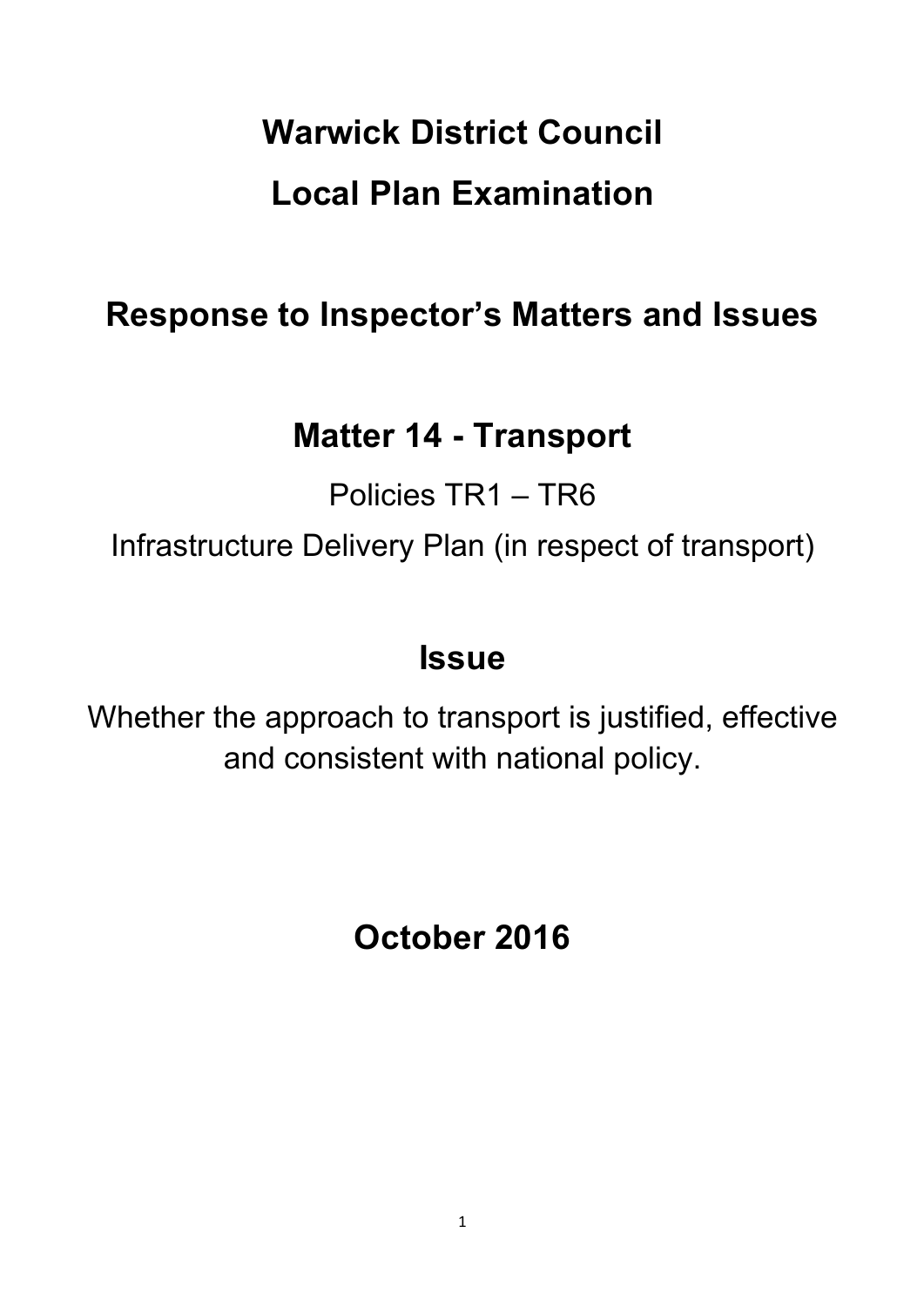# **Warwick District Council Local Plan Examination**

# **Response to Inspector's Matters and Issues**

# **Matter 14 - Transport**

Policies TR1 – TR6 Infrastructure Delivery Plan (in respect of transport)

# **Issue**

Whether the approach to transport is justified, effective and consistent with national policy.

**October 2016**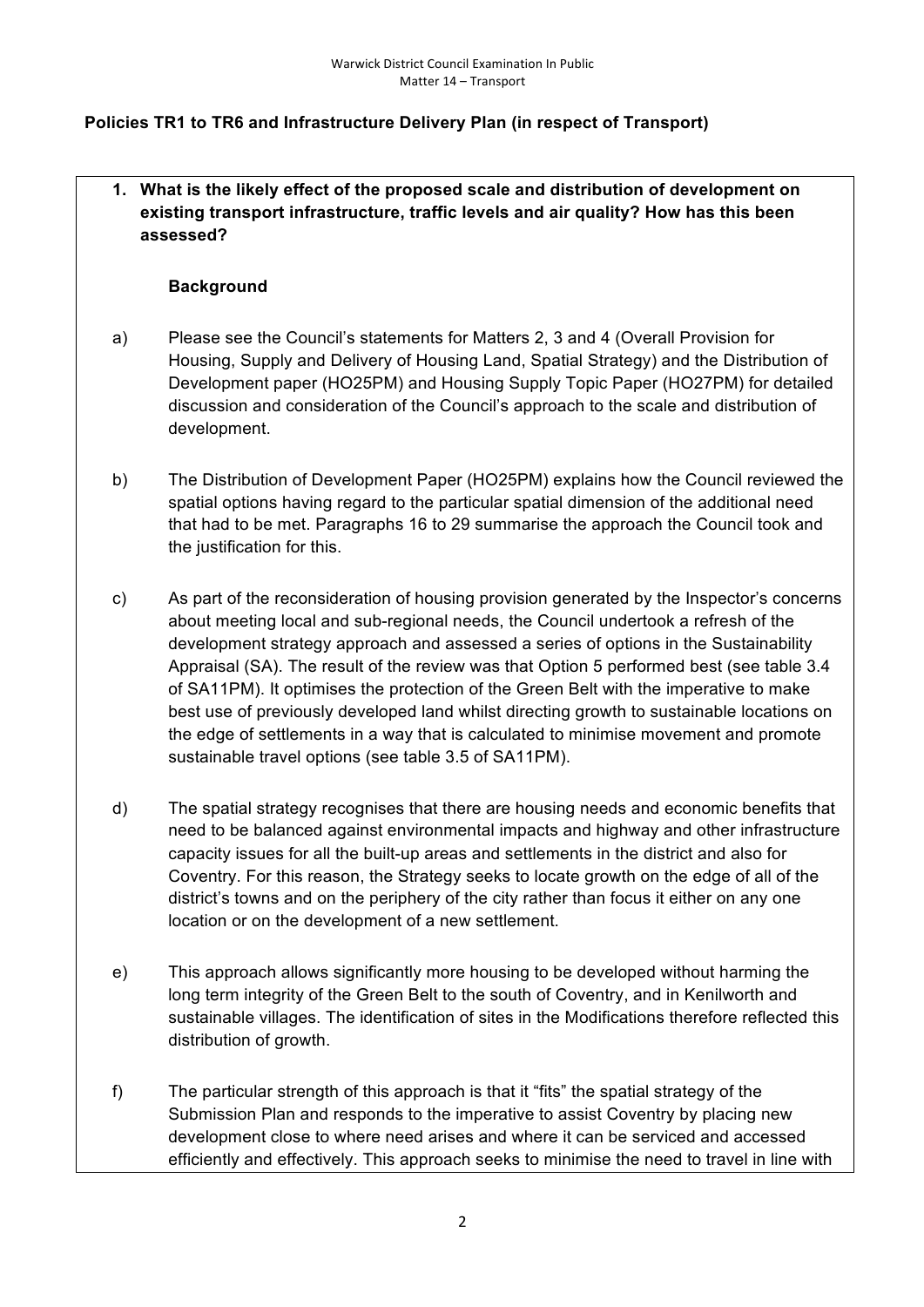### **Policies TR1 to TR6 and Infrastructure Delivery Plan (in respect of Transport)**

**1. What is the likely effect of the proposed scale and distribution of development on existing transport infrastructure, traffic levels and air quality? How has this been assessed?**

#### **Background**

- a) Please see the Council's statements for Matters 2, 3 and 4 (Overall Provision for Housing, Supply and Delivery of Housing Land, Spatial Strategy) and the Distribution of Development paper (HO25PM) and Housing Supply Topic Paper (HO27PM) for detailed discussion and consideration of the Council's approach to the scale and distribution of development.
- b) The Distribution of Development Paper (HO25PM) explains how the Council reviewed the spatial options having regard to the particular spatial dimension of the additional need that had to be met. Paragraphs 16 to 29 summarise the approach the Council took and the justification for this.
- c) As part of the reconsideration of housing provision generated by the Inspector's concerns about meeting local and sub-regional needs, the Council undertook a refresh of the development strategy approach and assessed a series of options in the Sustainability Appraisal (SA). The result of the review was that Option 5 performed best (see table 3.4 of SA11PM). It optimises the protection of the Green Belt with the imperative to make best use of previously developed land whilst directing growth to sustainable locations on the edge of settlements in a way that is calculated to minimise movement and promote sustainable travel options (see table 3.5 of SA11PM).
- d) The spatial strategy recognises that there are housing needs and economic benefits that need to be balanced against environmental impacts and highway and other infrastructure capacity issues for all the built-up areas and settlements in the district and also for Coventry. For this reason, the Strategy seeks to locate growth on the edge of all of the district's towns and on the periphery of the city rather than focus it either on any one location or on the development of a new settlement.
- e) This approach allows significantly more housing to be developed without harming the long term integrity of the Green Belt to the south of Coventry, and in Kenilworth and sustainable villages. The identification of sites in the Modifications therefore reflected this distribution of growth.
- f) The particular strength of this approach is that it "fits" the spatial strategy of the Submission Plan and responds to the imperative to assist Coventry by placing new development close to where need arises and where it can be serviced and accessed efficiently and effectively. This approach seeks to minimise the need to travel in line with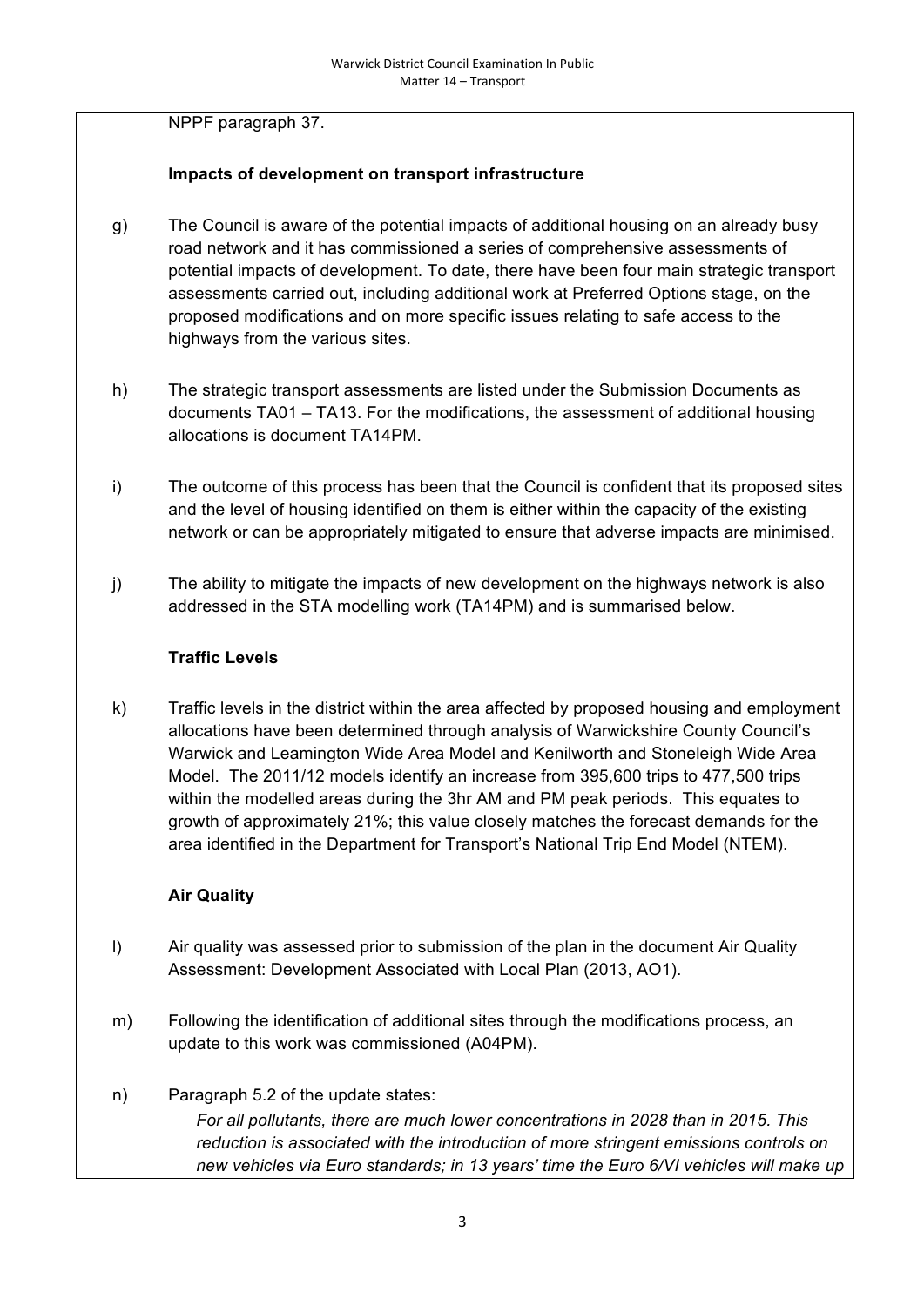NPPF paragraph 37.

# **Impacts of development on transport infrastructure**

- g) The Council is aware of the potential impacts of additional housing on an already busy road network and it has commissioned a series of comprehensive assessments of potential impacts of development. To date, there have been four main strategic transport assessments carried out, including additional work at Preferred Options stage, on the proposed modifications and on more specific issues relating to safe access to the highways from the various sites.
- h) The strategic transport assessments are listed under the Submission Documents as documents TA01 – TA13. For the modifications, the assessment of additional housing allocations is document TA14PM.
- i) The outcome of this process has been that the Council is confident that its proposed sites and the level of housing identified on them is either within the capacity of the existing network or can be appropriately mitigated to ensure that adverse impacts are minimised.
- j) The ability to mitigate the impacts of new development on the highways network is also addressed in the STA modelling work (TA14PM) and is summarised below.

#### **Traffic Levels**

k) Traffic levels in the district within the area affected by proposed housing and employment allocations have been determined through analysis of Warwickshire County Council's Warwick and Leamington Wide Area Model and Kenilworth and Stoneleigh Wide Area Model. The 2011/12 models identify an increase from 395,600 trips to 477,500 trips within the modelled areas during the 3hr AM and PM peak periods. This equates to growth of approximately 21%; this value closely matches the forecast demands for the area identified in the Department for Transport's National Trip End Model (NTEM).

# **Air Quality**

- l) Air quality was assessed prior to submission of the plan in the document Air Quality Assessment: Development Associated with Local Plan (2013, AO1).
- m) Following the identification of additional sites through the modifications process, an update to this work was commissioned (A04PM).
- n) Paragraph 5.2 of the update states: *For all pollutants, there are much lower concentrations in 2028 than in 2015. This reduction is associated with the introduction of more stringent emissions controls on new vehicles via Euro standards; in 13 years' time the Euro 6/VI vehicles will make up*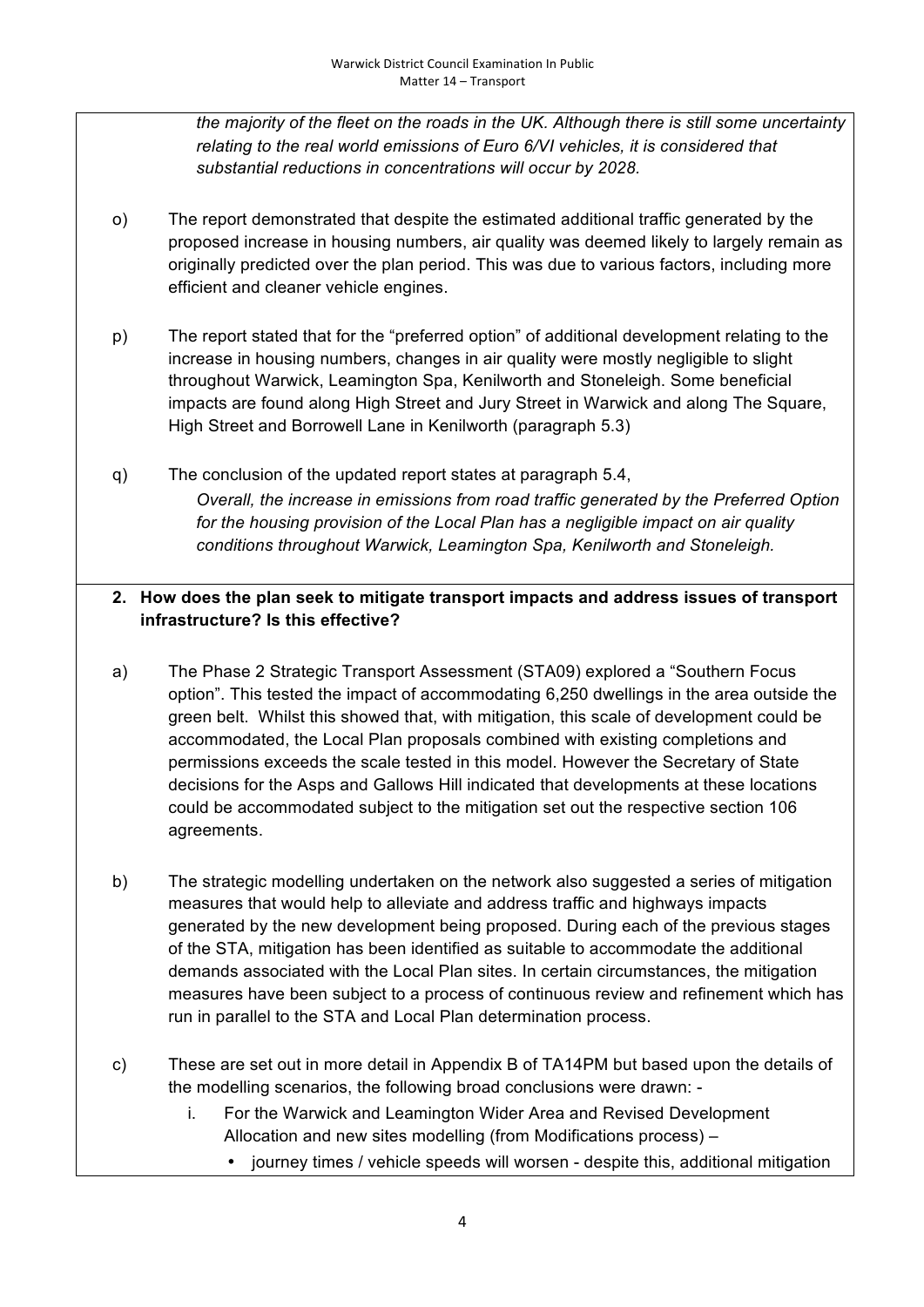*the majority of the fleet on the roads in the UK. Although there is still some uncertainty relating to the real world emissions of Euro 6/VI vehicles, it is considered that substantial reductions in concentrations will occur by 2028.*

- o) The report demonstrated that despite the estimated additional traffic generated by the proposed increase in housing numbers, air quality was deemed likely to largely remain as originally predicted over the plan period. This was due to various factors, including more efficient and cleaner vehicle engines.
- p) The report stated that for the "preferred option" of additional development relating to the increase in housing numbers, changes in air quality were mostly negligible to slight throughout Warwick, Leamington Spa, Kenilworth and Stoneleigh. Some beneficial impacts are found along High Street and Jury Street in Warwick and along The Square, High Street and Borrowell Lane in Kenilworth (paragraph 5.3)
- q) The conclusion of the updated report states at paragraph 5.4, *Overall, the increase in emissions from road traffic generated by the Preferred Option for the housing provision of the Local Plan has a negligible impact on air quality conditions throughout Warwick, Leamington Spa, Kenilworth and Stoneleigh.*

# **2. How does the plan seek to mitigate transport impacts and address issues of transport infrastructure? Is this effective?**

- a) The Phase 2 Strategic Transport Assessment (STA09) explored a "Southern Focus option". This tested the impact of accommodating 6,250 dwellings in the area outside the green belt. Whilst this showed that, with mitigation, this scale of development could be accommodated, the Local Plan proposals combined with existing completions and permissions exceeds the scale tested in this model. However the Secretary of State decisions for the Asps and Gallows Hill indicated that developments at these locations could be accommodated subject to the mitigation set out the respective section 106 agreements.
- b) The strategic modelling undertaken on the network also suggested a series of mitigation measures that would help to alleviate and address traffic and highways impacts generated by the new development being proposed. During each of the previous stages of the STA, mitigation has been identified as suitable to accommodate the additional demands associated with the Local Plan sites. In certain circumstances, the mitigation measures have been subject to a process of continuous review and refinement which has run in parallel to the STA and Local Plan determination process.
- c) These are set out in more detail in Appendix B of TA14PM but based upon the details of the modelling scenarios, the following broad conclusions were drawn:
	- i. For the Warwick and Leamington Wider Area and Revised Development Allocation and new sites modelling (from Modifications process) –
		- journey times / vehicle speeds will worsen despite this, additional mitigation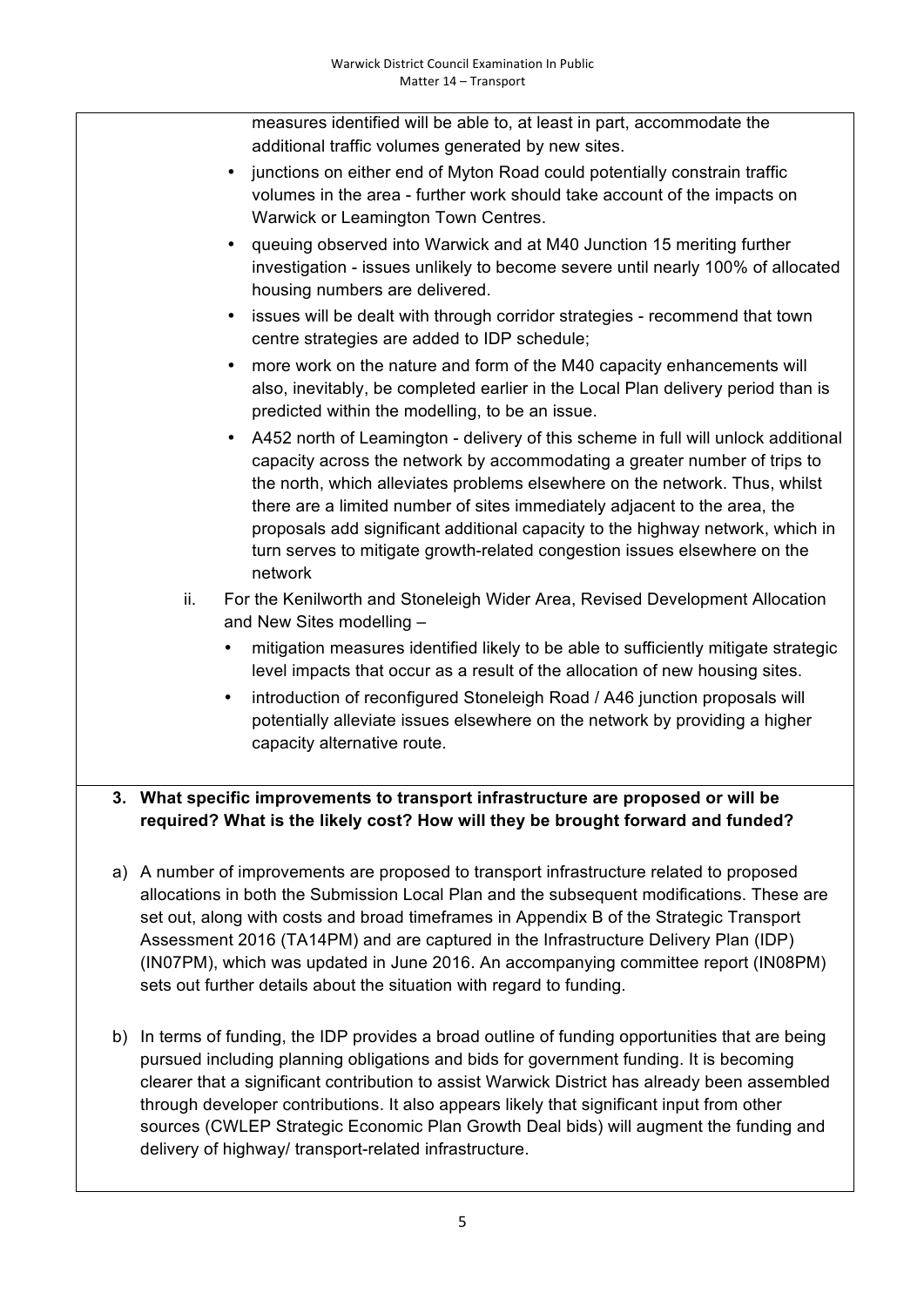measures identified will be able to, at least in part, accommodate the additional traffic volumes generated by new sites.

- junctions on either end of Myton Road could potentially constrain traffic volumes in the area - further work should take account of the impacts on Warwick or Leamington Town Centres.
- queuing observed into Warwick and at M40 Junction 15 meriting further investigation - issues unlikely to become severe until nearly 100% of allocated housing numbers are delivered.
- issues will be dealt with through corridor strategies recommend that town centre strategies are added to IDP schedule;
- more work on the nature and form of the M40 capacity enhancements will also, inevitably, be completed earlier in the Local Plan delivery period than is predicted within the modelling, to be an issue.
- A452 north of Leamington delivery of this scheme in full will unlock additional capacity across the network by accommodating a greater number of trips to the north, which alleviates problems elsewhere on the network. Thus, whilst there are a limited number of sites immediately adjacent to the area, the proposals add significant additional capacity to the highway network, which in turn serves to mitigate growth-related congestion issues elsewhere on the network
- ii. For the Kenilworth and Stoneleigh Wider Area, Revised Development Allocation and New Sites modelling –
	- mitigation measures identified likely to be able to sufficiently mitigate strategic level impacts that occur as a result of the allocation of new housing sites.
	- introduction of reconfigured Stoneleigh Road / A46 junction proposals will potentially alleviate issues elsewhere on the network by providing a higher capacity alternative route.

# **3. What specific improvements to transport infrastructure are proposed or will be required? What is the likely cost? How will they be brought forward and funded?**

- a) A number of improvements are proposed to transport infrastructure related to proposed allocations in both the Submission Local Plan and the subsequent modifications. These are set out, along with costs and broad timeframes in Appendix B of the Strategic Transport Assessment 2016 (TA14PM) and are captured in the Infrastructure Delivery Plan (IDP) (IN07PM), which was updated in June 2016. An accompanying committee report (IN08PM) sets out further details about the situation with regard to funding.
- b) In terms of funding, the IDP provides a broad outline of funding opportunities that are being pursued including planning obligations and bids for government funding. It is becoming clearer that a significant contribution to assist Warwick District has already been assembled through developer contributions. It also appears likely that significant input from other sources (CWLEP Strategic Economic Plan Growth Deal bids) will augment the funding and delivery of highway/ transport-related infrastructure.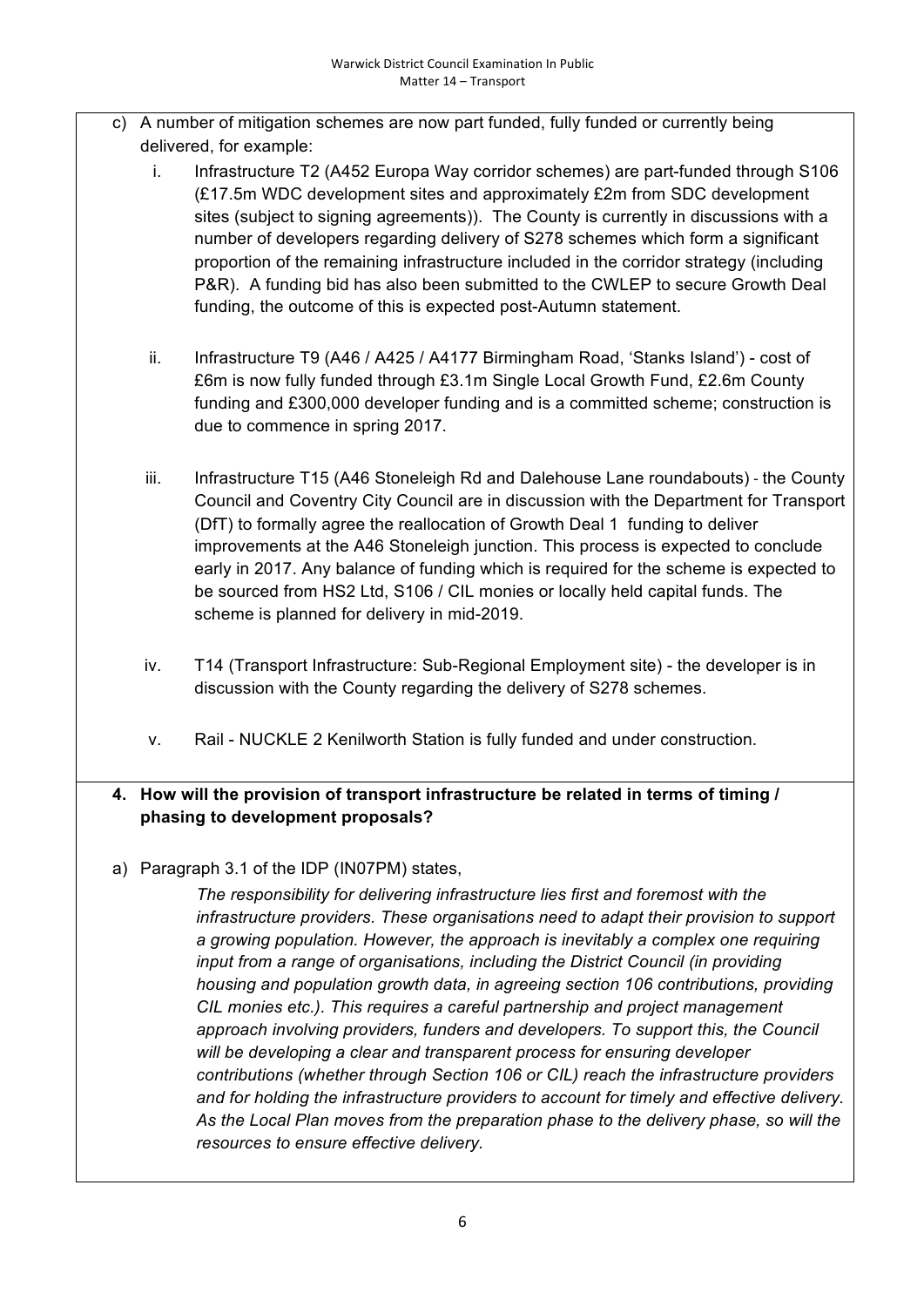- c) A number of mitigation schemes are now part funded, fully funded or currently being delivered, for example:
	- i. Infrastructure T2 (A452 Europa Way corridor schemes) are part-funded through S106 (£17.5m WDC development sites and approximately £2m from SDC development sites (subject to signing agreements)). The County is currently in discussions with a number of developers regarding delivery of S278 schemes which form a significant proportion of the remaining infrastructure included in the corridor strategy (including P&R). A funding bid has also been submitted to the CWLEP to secure Growth Deal funding, the outcome of this is expected post-Autumn statement.
	- ii. Infrastructure T9 (A46 / A425 / A4177 Birmingham Road, 'Stanks Island') cost of £6m is now fully funded through £3.1m Single Local Growth Fund, £2.6m County funding and £300,000 developer funding and is a committed scheme; construction is due to commence in spring 2017.
	- iii. Infrastructure T15 (A46 Stoneleigh Rd and Dalehouse Lane roundabouts) the County Council and Coventry City Council are in discussion with the Department for Transport (DfT) to formally agree the reallocation of Growth Deal 1 funding to deliver improvements at the A46 Stoneleigh junction. This process is expected to conclude early in 2017. Any balance of funding which is required for the scheme is expected to be sourced from HS2 Ltd, S106 / CIL monies or locally held capital funds. The scheme is planned for delivery in mid-2019.
	- iv. T14 (Transport Infrastructure: Sub-Regional Employment site) the developer is in discussion with the County regarding the delivery of S278 schemes.
	- v. Rail NUCKLE 2 Kenilworth Station is fully funded and under construction.

# **4. How will the provision of transport infrastructure be related in terms of timing / phasing to development proposals?**

a) Paragraph 3.1 of the IDP (IN07PM) states,

*The responsibility for delivering infrastructure lies first and foremost with the infrastructure providers. These organisations need to adapt their provision to support a growing population. However, the approach is inevitably a complex one requiring input from a range of organisations, including the District Council (in providing housing and population growth data, in agreeing section 106 contributions, providing CIL monies etc.). This requires a careful partnership and project management*  approach involving providers, funders and developers. To support this, the Council *will be developing a clear and transparent process for ensuring developer contributions (whether through Section 106 or CIL) reach the infrastructure providers and for holding the infrastructure providers to account for timely and effective delivery. As the Local Plan moves from the preparation phase to the delivery phase, so will the resources to ensure effective delivery.*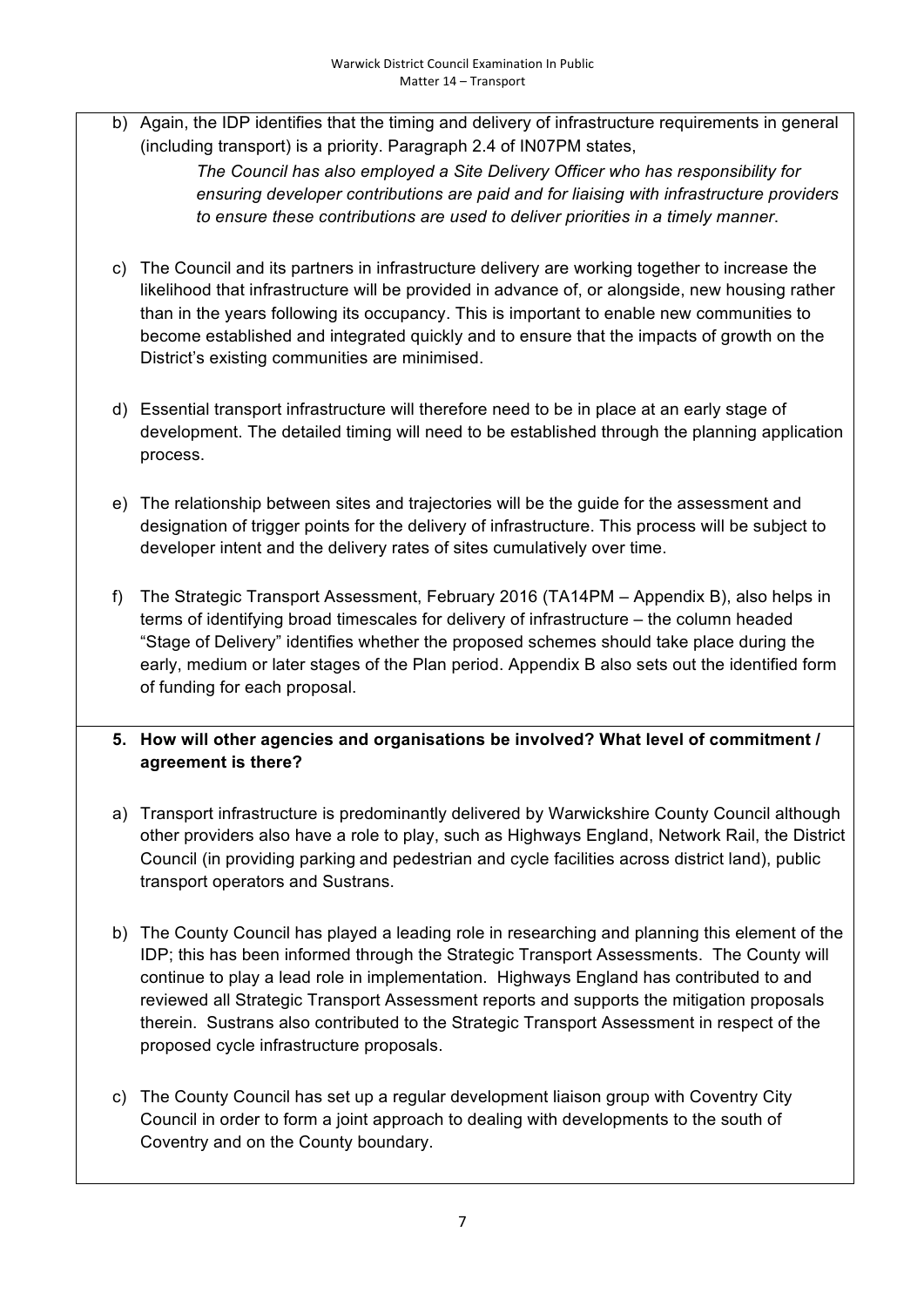b) Again, the IDP identifies that the timing and delivery of infrastructure requirements in general (including transport) is a priority. Paragraph 2.4 of IN07PM states,

> *The Council has also employed a Site Delivery Officer who has responsibility for ensuring developer contributions are paid and for liaising with infrastructure providers to ensure these contributions are used to deliver priorities in a timely manner*.

- c) The Council and its partners in infrastructure delivery are working together to increase the likelihood that infrastructure will be provided in advance of, or alongside, new housing rather than in the years following its occupancy. This is important to enable new communities to become established and integrated quickly and to ensure that the impacts of growth on the District's existing communities are minimised.
- d) Essential transport infrastructure will therefore need to be in place at an early stage of development. The detailed timing will need to be established through the planning application process.
- e) The relationship between sites and trajectories will be the guide for the assessment and designation of trigger points for the delivery of infrastructure. This process will be subject to developer intent and the delivery rates of sites cumulatively over time.
- f) The Strategic Transport Assessment, February 2016 (TA14PM Appendix B), also helps in terms of identifying broad timescales for delivery of infrastructure – the column headed "Stage of Delivery" identifies whether the proposed schemes should take place during the early, medium or later stages of the Plan period. Appendix B also sets out the identified form of funding for each proposal.
- **5. How will other agencies and organisations be involved? What level of commitment / agreement is there?**
- a) Transport infrastructure is predominantly delivered by Warwickshire County Council although other providers also have a role to play, such as Highways England, Network Rail, the District Council (in providing parking and pedestrian and cycle facilities across district land), public transport operators and Sustrans.
- b) The County Council has played a leading role in researching and planning this element of the IDP; this has been informed through the Strategic Transport Assessments. The County will continue to play a lead role in implementation. Highways England has contributed to and reviewed all Strategic Transport Assessment reports and supports the mitigation proposals therein. Sustrans also contributed to the Strategic Transport Assessment in respect of the proposed cycle infrastructure proposals.
- c) The County Council has set up a regular development liaison group with Coventry City Council in order to form a joint approach to dealing with developments to the south of Coventry and on the County boundary.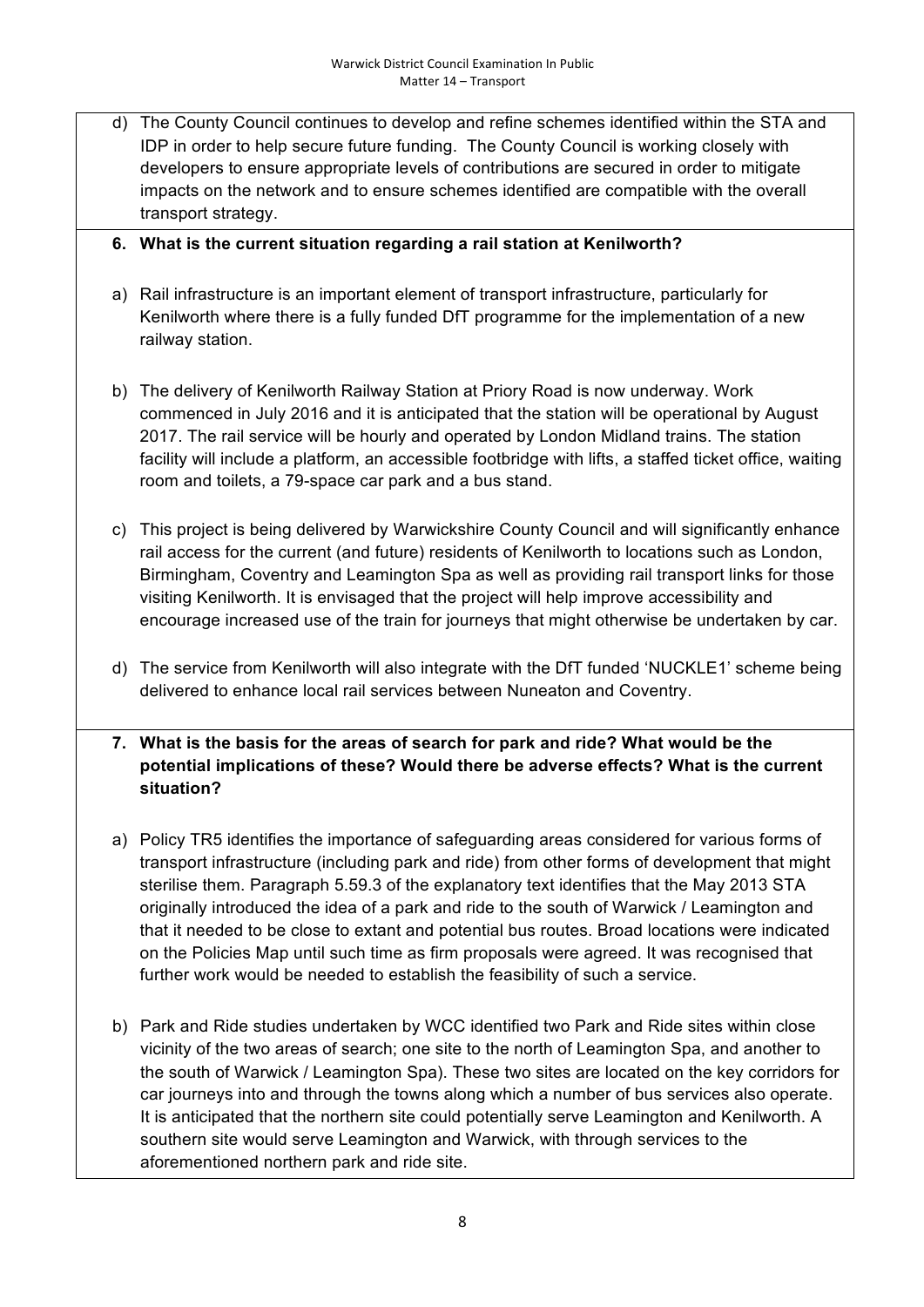- d) The County Council continues to develop and refine schemes identified within the STA and IDP in order to help secure future funding. The County Council is working closely with developers to ensure appropriate levels of contributions are secured in order to mitigate impacts on the network and to ensure schemes identified are compatible with the overall transport strategy.
- **6. What is the current situation regarding a rail station at Kenilworth?**
- a) Rail infrastructure is an important element of transport infrastructure, particularly for Kenilworth where there is a fully funded DfT programme for the implementation of a new railway station.
- b) The delivery of Kenilworth Railway Station at Priory Road is now underway. Work commenced in July 2016 and it is anticipated that the station will be operational by August 2017. The rail service will be hourly and operated by London Midland trains. The station facility will include a platform, an accessible footbridge with lifts, a staffed ticket office, waiting room and toilets, a 79-space car park and a bus stand.
- c) This project is being delivered by Warwickshire County Council and will significantly enhance rail access for the current (and future) residents of Kenilworth to locations such as London, Birmingham, Coventry and Leamington Spa as well as providing rail transport links for those visiting Kenilworth. It is envisaged that the project will help improve accessibility and encourage increased use of the train for journeys that might otherwise be undertaken by car.
- d) The service from Kenilworth will also integrate with the DfT funded 'NUCKLE1' scheme being delivered to enhance local rail services between Nuneaton and Coventry.
- **7. What is the basis for the areas of search for park and ride? What would be the potential implications of these? Would there be adverse effects? What is the current situation?**
- a) Policy TR5 identifies the importance of safeguarding areas considered for various forms of transport infrastructure (including park and ride) from other forms of development that might sterilise them. Paragraph 5.59.3 of the explanatory text identifies that the May 2013 STA originally introduced the idea of a park and ride to the south of Warwick / Leamington and that it needed to be close to extant and potential bus routes. Broad locations were indicated on the Policies Map until such time as firm proposals were agreed. It was recognised that further work would be needed to establish the feasibility of such a service.
- b) Park and Ride studies undertaken by WCC identified two Park and Ride sites within close vicinity of the two areas of search; one site to the north of Leamington Spa, and another to the south of Warwick / Leamington Spa). These two sites are located on the key corridors for car journeys into and through the towns along which a number of bus services also operate. It is anticipated that the northern site could potentially serve Leamington and Kenilworth. A southern site would serve Leamington and Warwick, with through services to the aforementioned northern park and ride site.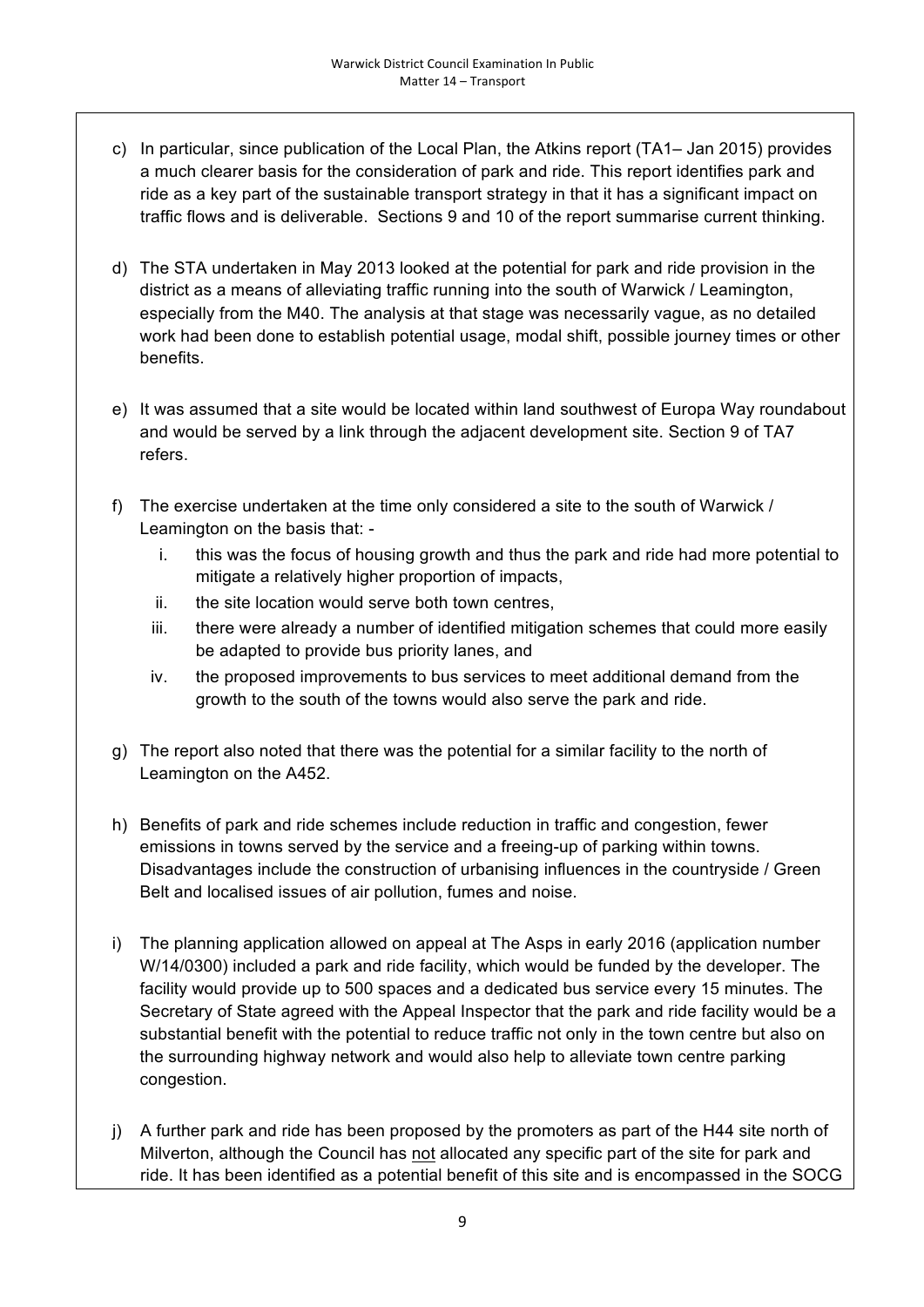- c) In particular, since publication of the Local Plan, the Atkins report (TA1– Jan 2015) provides a much clearer basis for the consideration of park and ride. This report identifies park and ride as a key part of the sustainable transport strategy in that it has a significant impact on traffic flows and is deliverable. Sections 9 and 10 of the report summarise current thinking.
- d) The STA undertaken in May 2013 looked at the potential for park and ride provision in the district as a means of alleviating traffic running into the south of Warwick / Leamington, especially from the M40. The analysis at that stage was necessarily vague, as no detailed work had been done to establish potential usage, modal shift, possible journey times or other benefits.
- e) It was assumed that a site would be located within land southwest of Europa Way roundabout and would be served by a link through the adjacent development site. Section 9 of TA7 refers.
- f) The exercise undertaken at the time only considered a site to the south of Warwick / Leamington on the basis that:
	- i. this was the focus of housing growth and thus the park and ride had more potential to mitigate a relatively higher proportion of impacts,
	- ii. the site location would serve both town centres,
	- iii. there were already a number of identified mitigation schemes that could more easily be adapted to provide bus priority lanes, and
	- iv. the proposed improvements to bus services to meet additional demand from the growth to the south of the towns would also serve the park and ride.
- g) The report also noted that there was the potential for a similar facility to the north of Leamington on the A452.
- h) Benefits of park and ride schemes include reduction in traffic and congestion, fewer emissions in towns served by the service and a freeing-up of parking within towns. Disadvantages include the construction of urbanising influences in the countryside / Green Belt and localised issues of air pollution, fumes and noise.
- i) The planning application allowed on appeal at The Asps in early 2016 (application number W/14/0300) included a park and ride facility, which would be funded by the developer. The facility would provide up to 500 spaces and a dedicated bus service every 15 minutes. The Secretary of State agreed with the Appeal Inspector that the park and ride facility would be a substantial benefit with the potential to reduce traffic not only in the town centre but also on the surrounding highway network and would also help to alleviate town centre parking congestion.
- j) A further park and ride has been proposed by the promoters as part of the H44 site north of Milverton, although the Council has not allocated any specific part of the site for park and ride. It has been identified as a potential benefit of this site and is encompassed in the SOCG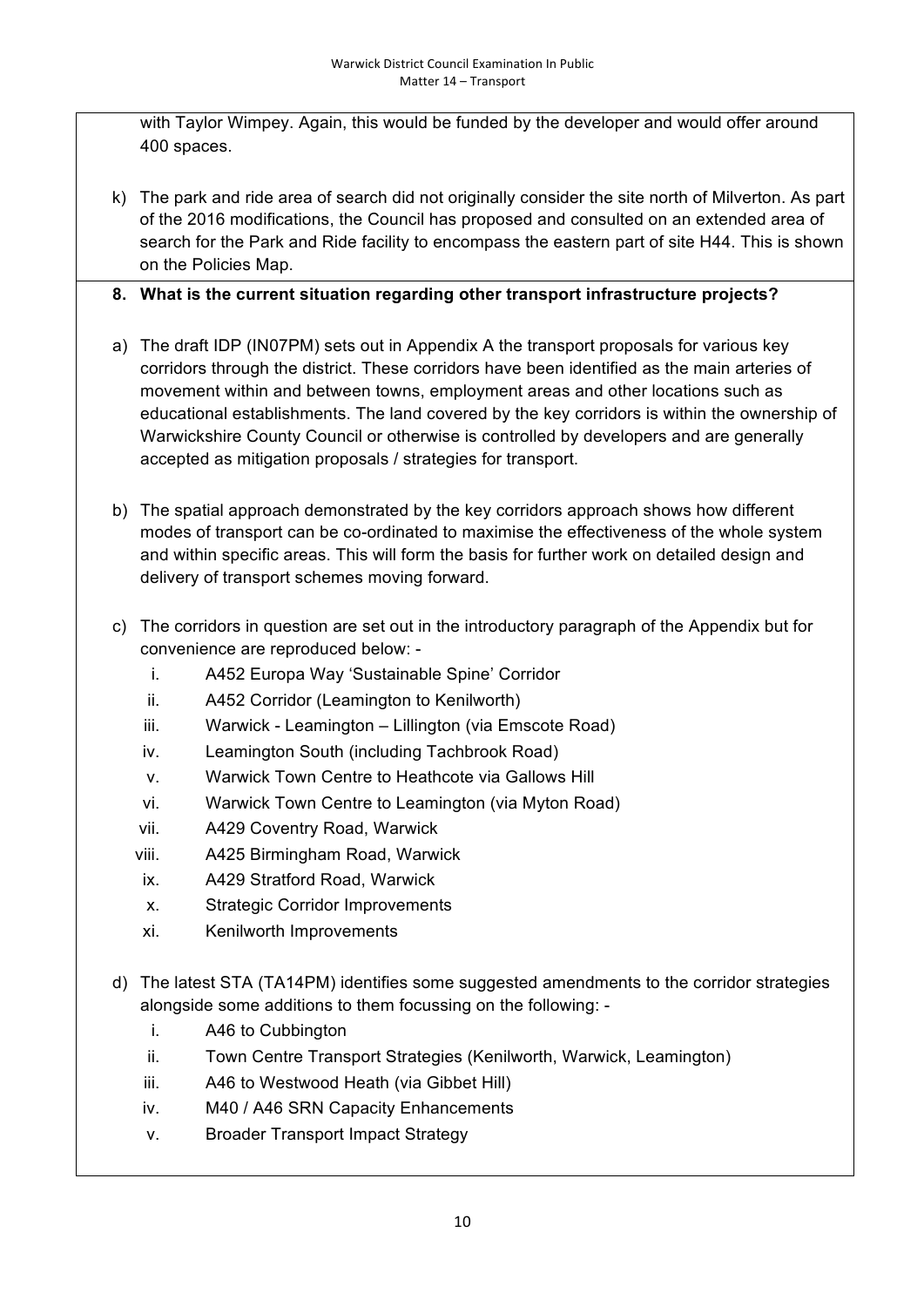with Taylor Wimpey. Again, this would be funded by the developer and would offer around 400 spaces.

k) The park and ride area of search did not originally consider the site north of Milverton. As part of the 2016 modifications, the Council has proposed and consulted on an extended area of search for the Park and Ride facility to encompass the eastern part of site H44. This is shown on the Policies Map.

# **8. What is the current situation regarding other transport infrastructure projects?**

- a) The draft IDP (IN07PM) sets out in Appendix A the transport proposals for various key corridors through the district. These corridors have been identified as the main arteries of movement within and between towns, employment areas and other locations such as educational establishments. The land covered by the key corridors is within the ownership of Warwickshire County Council or otherwise is controlled by developers and are generally accepted as mitigation proposals / strategies for transport.
- b) The spatial approach demonstrated by the key corridors approach shows how different modes of transport can be co-ordinated to maximise the effectiveness of the whole system and within specific areas. This will form the basis for further work on detailed design and delivery of transport schemes moving forward.
- c) The corridors in question are set out in the introductory paragraph of the Appendix but for convenience are reproduced below:
	- i. A452 Europa Way 'Sustainable Spine' Corridor
	- ii. A452 Corridor (Leamington to Kenilworth)
	- iii. Warwick Leamington Lillington (via Emscote Road)
	- iv. Leamington South (including Tachbrook Road)
	- v. Warwick Town Centre to Heathcote via Gallows Hill
	- vi. Warwick Town Centre to Leamington (via Myton Road)
	- vii. A429 Coventry Road, Warwick
	- viii. A425 Birmingham Road, Warwick
	- ix. A429 Stratford Road, Warwick
	- x. Strategic Corridor Improvements
	- xi. Kenilworth Improvements
- d) The latest STA (TA14PM) identifies some suggested amendments to the corridor strategies alongside some additions to them focussing on the following:
	- i. A46 to Cubbington
	- ii. Town Centre Transport Strategies (Kenilworth, Warwick, Leamington)
	- iii. A46 to Westwood Heath (via Gibbet Hill)
	- iv. M40 / A46 SRN Capacity Enhancements
	- v. Broader Transport Impact Strategy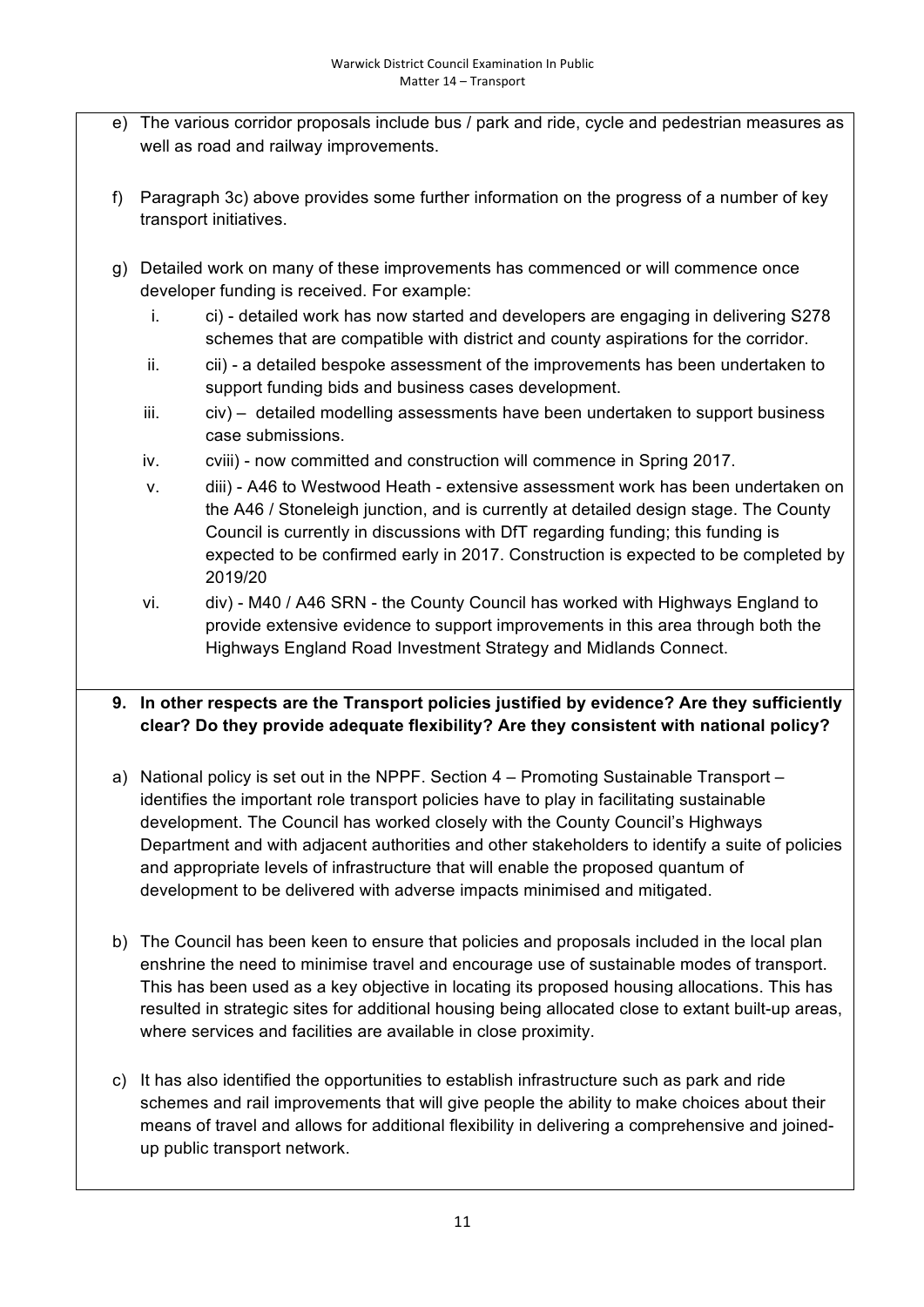- e) The various corridor proposals include bus / park and ride, cycle and pedestrian measures as well as road and railway improvements.
- f) Paragraph 3c) above provides some further information on the progress of a number of key transport initiatives.
- g) Detailed work on many of these improvements has commenced or will commence once developer funding is received. For example:
	- i. ci) detailed work has now started and developers are engaging in delivering S278 schemes that are compatible with district and county aspirations for the corridor.
	- ii. cii) a detailed bespoke assessment of the improvements has been undertaken to support funding bids and business cases development.
	- iii. civ) detailed modelling assessments have been undertaken to support business case submissions.
	- iv. cviii) now committed and construction will commence in Spring 2017.
	- v. diii) A46 to Westwood Heath extensive assessment work has been undertaken on the A46 / Stoneleigh junction, and is currently at detailed design stage. The County Council is currently in discussions with DfT regarding funding; this funding is expected to be confirmed early in 2017. Construction is expected to be completed by 2019/20
	- vi. div) M40 / A46 SRN the County Council has worked with Highways England to provide extensive evidence to support improvements in this area through both the Highways England Road Investment Strategy and Midlands Connect.

# **9. In other respects are the Transport policies justified by evidence? Are they sufficiently clear? Do they provide adequate flexibility? Are they consistent with national policy?**

- a) National policy is set out in the NPPF. Section 4 Promoting Sustainable Transport identifies the important role transport policies have to play in facilitating sustainable development. The Council has worked closely with the County Council's Highways Department and with adjacent authorities and other stakeholders to identify a suite of policies and appropriate levels of infrastructure that will enable the proposed quantum of development to be delivered with adverse impacts minimised and mitigated.
- b) The Council has been keen to ensure that policies and proposals included in the local plan enshrine the need to minimise travel and encourage use of sustainable modes of transport. This has been used as a key objective in locating its proposed housing allocations. This has resulted in strategic sites for additional housing being allocated close to extant built-up areas, where services and facilities are available in close proximity.
- c) It has also identified the opportunities to establish infrastructure such as park and ride schemes and rail improvements that will give people the ability to make choices about their means of travel and allows for additional flexibility in delivering a comprehensive and joinedup public transport network.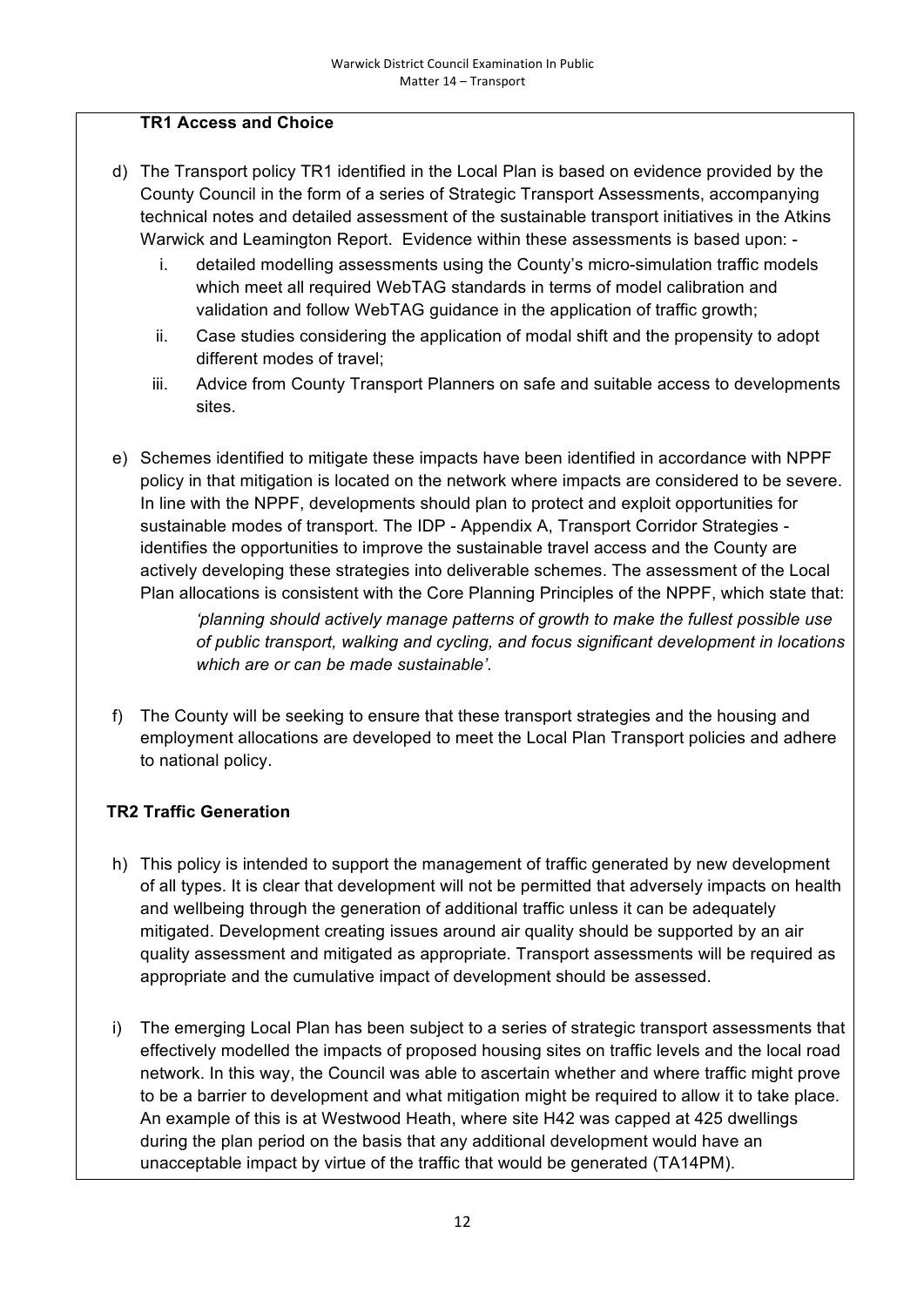# **TR1 Access and Choice**

- d) The Transport policy TR1 identified in the Local Plan is based on evidence provided by the County Council in the form of a series of Strategic Transport Assessments, accompanying technical notes and detailed assessment of the sustainable transport initiatives in the Atkins Warwick and Leamington Report. Evidence within these assessments is based upon:
	- i. detailed modelling assessments using the County's micro-simulation traffic models which meet all required WebTAG standards in terms of model calibration and validation and follow WebTAG guidance in the application of traffic growth;
	- ii. Case studies considering the application of modal shift and the propensity to adopt different modes of travel;
	- iii. Advice from County Transport Planners on safe and suitable access to developments sites.
- e) Schemes identified to mitigate these impacts have been identified in accordance with NPPF policy in that mitigation is located on the network where impacts are considered to be severe. In line with the NPPF, developments should plan to protect and exploit opportunities for sustainable modes of transport. The IDP - Appendix A, Transport Corridor Strategies identifies the opportunities to improve the sustainable travel access and the County are actively developing these strategies into deliverable schemes. The assessment of the Local Plan allocations is consistent with the Core Planning Principles of the NPPF, which state that:

*'planning should actively manage patterns of growth to make the fullest possible use of public transport, walking and cycling, and focus significant development in locations which are or can be made sustainable'.*

f) The County will be seeking to ensure that these transport strategies and the housing and employment allocations are developed to meet the Local Plan Transport policies and adhere to national policy.

# **TR2 Traffic Generation**

- h) This policy is intended to support the management of traffic generated by new development of all types. It is clear that development will not be permitted that adversely impacts on health and wellbeing through the generation of additional traffic unless it can be adequately mitigated. Development creating issues around air quality should be supported by an air quality assessment and mitigated as appropriate. Transport assessments will be required as appropriate and the cumulative impact of development should be assessed.
- i) The emerging Local Plan has been subject to a series of strategic transport assessments that effectively modelled the impacts of proposed housing sites on traffic levels and the local road network. In this way, the Council was able to ascertain whether and where traffic might prove to be a barrier to development and what mitigation might be required to allow it to take place. An example of this is at Westwood Heath, where site H42 was capped at 425 dwellings during the plan period on the basis that any additional development would have an unacceptable impact by virtue of the traffic that would be generated (TA14PM).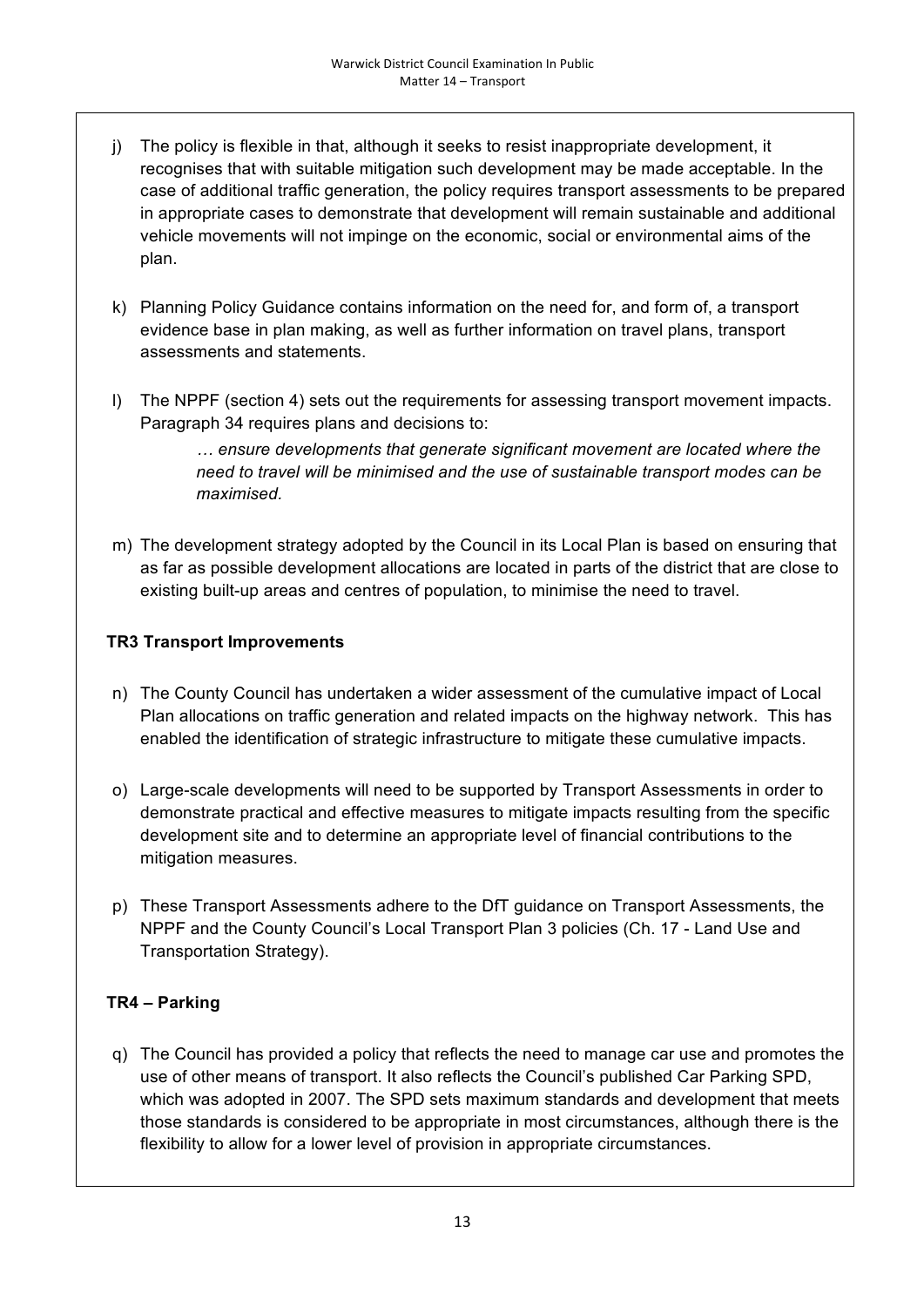- j) The policy is flexible in that, although it seeks to resist inappropriate development, it recognises that with suitable mitigation such development may be made acceptable. In the case of additional traffic generation, the policy requires transport assessments to be prepared in appropriate cases to demonstrate that development will remain sustainable and additional vehicle movements will not impinge on the economic, social or environmental aims of the plan.
- k) Planning Policy Guidance contains information on the need for, and form of, a transport evidence base in plan making, as well as further information on travel plans, transport assessments and statements.
- l) The NPPF (section 4) sets out the requirements for assessing transport movement impacts. Paragraph 34 requires plans and decisions to:

*… ensure developments that generate significant movement are located where the need to travel will be minimised and the use of sustainable transport modes can be maximised.*

m) The development strategy adopted by the Council in its Local Plan is based on ensuring that as far as possible development allocations are located in parts of the district that are close to existing built-up areas and centres of population, to minimise the need to travel.

# **TR3 Transport Improvements**

- n) The County Council has undertaken a wider assessment of the cumulative impact of Local Plan allocations on traffic generation and related impacts on the highway network. This has enabled the identification of strategic infrastructure to mitigate these cumulative impacts.
- o) Large-scale developments will need to be supported by Transport Assessments in order to demonstrate practical and effective measures to mitigate impacts resulting from the specific development site and to determine an appropriate level of financial contributions to the mitigation measures.
- p) These Transport Assessments adhere to the DfT guidance on Transport Assessments, the NPPF and the County Council's Local Transport Plan 3 policies (Ch. 17 - Land Use and Transportation Strategy).

# **TR4 – Parking**

q) The Council has provided a policy that reflects the need to manage car use and promotes the use of other means of transport. It also reflects the Council's published Car Parking SPD, which was adopted in 2007. The SPD sets maximum standards and development that meets those standards is considered to be appropriate in most circumstances, although there is the flexibility to allow for a lower level of provision in appropriate circumstances.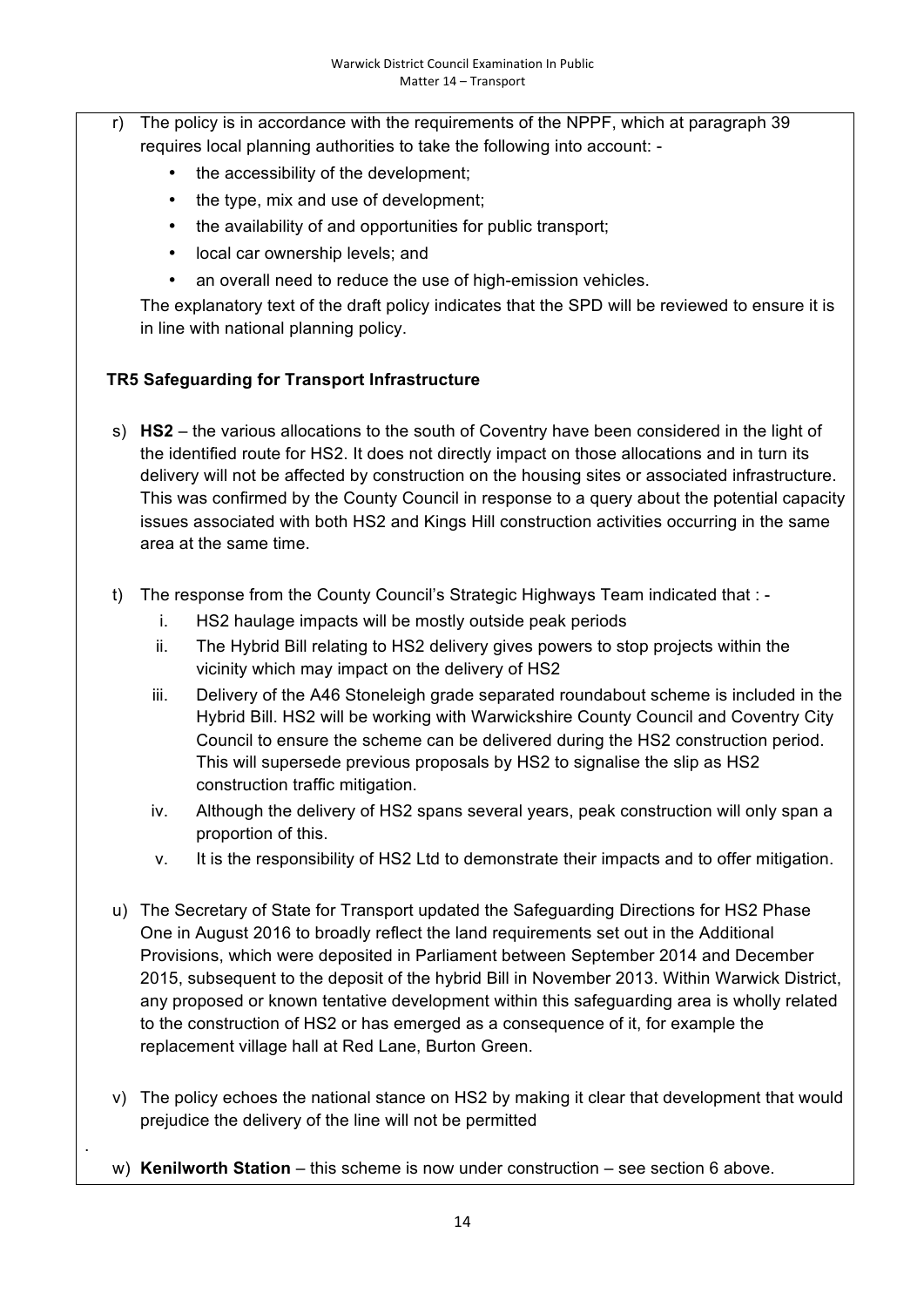- r) The policy is in accordance with the requirements of the NPPF, which at paragraph 39 requires local planning authorities to take the following into account:
	- the accessibility of the development;
	- the type, mix and use of development;
	- the availability of and opportunities for public transport;
	- local car ownership levels; and
	- an overall need to reduce the use of high-emission vehicles.

The explanatory text of the draft policy indicates that the SPD will be reviewed to ensure it is in line with national planning policy.

### **TR5 Safeguarding for Transport Infrastructure**

.

- s) **HS2** the various allocations to the south of Coventry have been considered in the light of the identified route for HS2. It does not directly impact on those allocations and in turn its delivery will not be affected by construction on the housing sites or associated infrastructure. This was confirmed by the County Council in response to a query about the potential capacity issues associated with both HS2 and Kings Hill construction activities occurring in the same area at the same time.
- t) The response from the County Council's Strategic Highways Team indicated that :
	- i. HS2 haulage impacts will be mostly outside peak periods
	- ii. The Hybrid Bill relating to HS2 delivery gives powers to stop projects within the vicinity which may impact on the delivery of HS2
	- iii. Delivery of the A46 Stoneleigh grade separated roundabout scheme is included in the Hybrid Bill. HS2 will be working with Warwickshire County Council and Coventry City Council to ensure the scheme can be delivered during the HS2 construction period. This will supersede previous proposals by HS2 to signalise the slip as HS2 construction traffic mitigation.
	- iv. Although the delivery of HS2 spans several years, peak construction will only span a proportion of this.
	- v. It is the responsibility of HS2 Ltd to demonstrate their impacts and to offer mitigation.
- u) The Secretary of State for Transport updated the Safeguarding Directions for HS2 Phase One in August 2016 to broadly reflect the land requirements set out in the Additional Provisions, which were deposited in Parliament between September 2014 and December 2015, subsequent to the deposit of the hybrid Bill in November 2013. Within Warwick District, any proposed or known tentative development within this safeguarding area is wholly related to the construction of HS2 or has emerged as a consequence of it, for example the replacement village hall at Red Lane, Burton Green.
- v) The policy echoes the national stance on HS2 by making it clear that development that would prejudice the delivery of the line will not be permitted
- w) **Kenilworth Station** this scheme is now under construction see section 6 above.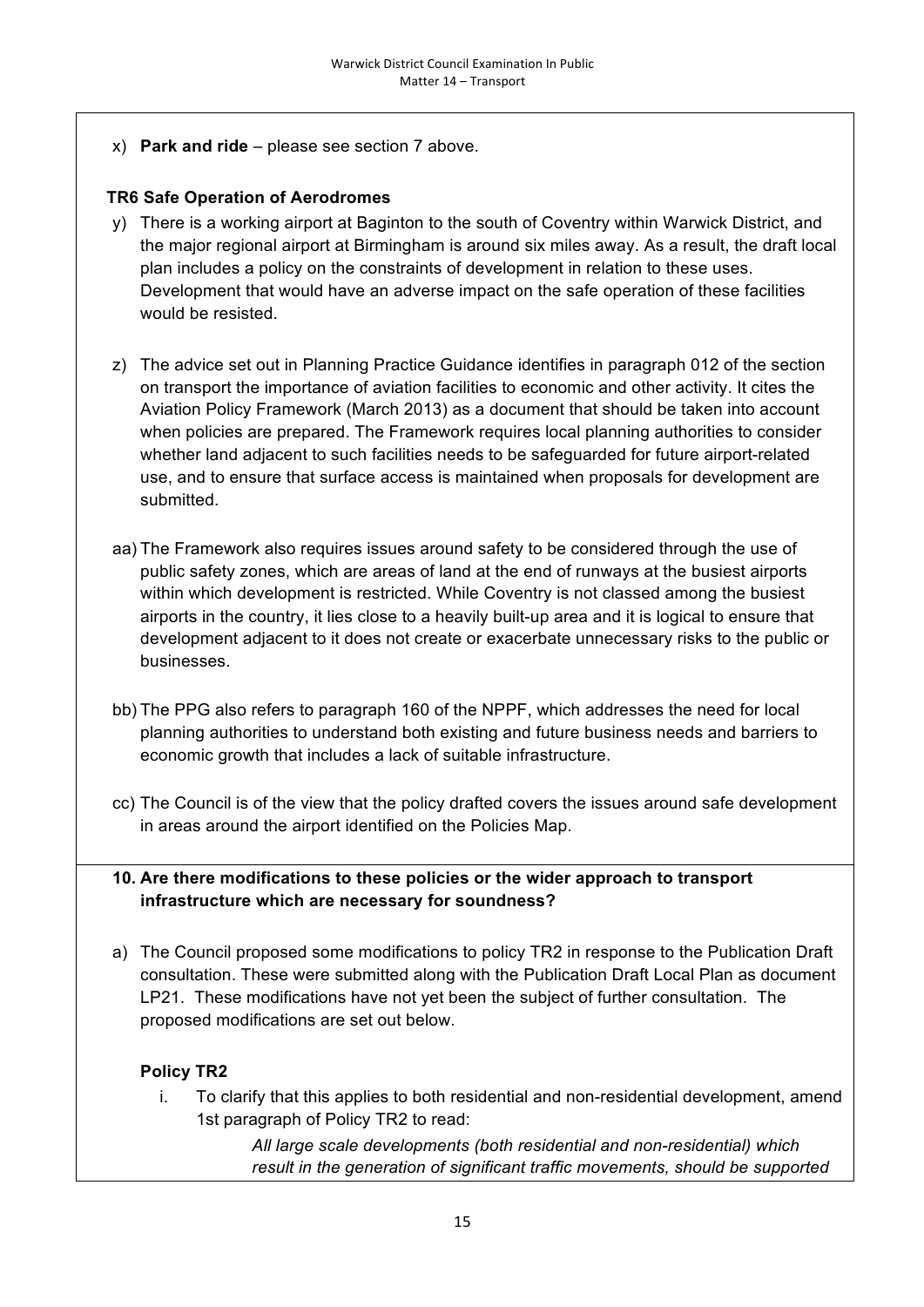x) **Park and ride** – please see section 7 above.

### **TR6 Safe Operation of Aerodromes**

- y) There is a working airport at Baginton to the south of Coventry within Warwick District, and the major regional airport at Birmingham is around six miles away. As a result, the draft local plan includes a policy on the constraints of development in relation to these uses. Development that would have an adverse impact on the safe operation of these facilities would be resisted.
- z) The advice set out in Planning Practice Guidance identifies in paragraph 012 of the section on transport the importance of aviation facilities to economic and other activity. It cites the Aviation Policy Framework (March 2013) as a document that should be taken into account when policies are prepared. The Framework requires local planning authorities to consider whether land adjacent to such facilities needs to be safeguarded for future airport-related use, and to ensure that surface access is maintained when proposals for development are submitted.
- aa) The Framework also requires issues around safety to be considered through the use of public safety zones, which are areas of land at the end of runways at the busiest airports within which development is restricted. While Coventry is not classed among the busiest airports in the country, it lies close to a heavily built-up area and it is logical to ensure that development adjacent to it does not create or exacerbate unnecessary risks to the public or businesses.
- bb) The PPG also refers to paragraph 160 of the NPPF, which addresses the need for local planning authorities to understand both existing and future business needs and barriers to economic growth that includes a lack of suitable infrastructure.
- cc) The Council is of the view that the policy drafted covers the issues around safe development in areas around the airport identified on the Policies Map.

### **10. Are there modifications to these policies or the wider approach to transport infrastructure which are necessary for soundness?**

a) The Council proposed some modifications to policy TR2 in response to the Publication Draft consultation. These were submitted along with the Publication Draft Local Plan as document LP21. These modifications have not yet been the subject of further consultation. The proposed modifications are set out below.

# **Policy TR2**

i. To clarify that this applies to both residential and non-residential development, amend 1st paragraph of Policy TR2 to read:

> *All large scale developments (both residential and non-residential) which result in the generation of significant traffic movements, should be supported*